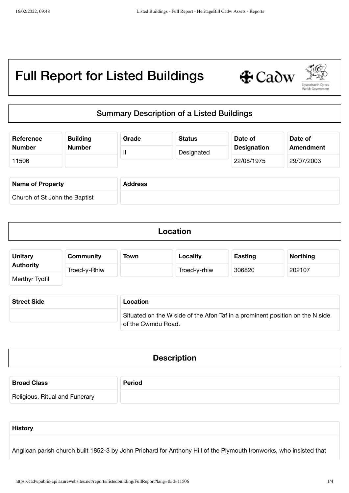

# Summary Description of a Listed Buildings

| Reference                     | <b>Building</b> | Grade          | <b>Status</b> | Date of            | Date of    |
|-------------------------------|-----------------|----------------|---------------|--------------------|------------|
| <b>Number</b>                 | <b>Number</b>   | $\mathbf{I}$   | Designated    | <b>Designation</b> | Amendment  |
| 11506                         |                 |                |               | 22/08/1975         | 29/07/2003 |
| <b>Name of Property</b>       |                 | <b>Address</b> |               |                    |            |
| Church of St John the Baptist |                 |                |               |                    |            |

| Location |  |
|----------|--|
|          |  |

| <b>Unitary</b>   | <b>Community</b> | Town | Locality     | <b>Easting</b> | <b>Northing</b> |
|------------------|------------------|------|--------------|----------------|-----------------|
| <b>Authority</b> | Troed-y-Rhiw     |      | Troed-y-rhiw | 306820         | 202107          |
| Merthyr Tydfil   |                  |      |              |                |                 |

| <b>Street Side</b> | Location                                                                     |
|--------------------|------------------------------------------------------------------------------|
|                    | Situated on the W side of the Afon Taf in a prominent position on the N side |
|                    | of the Cwmdu Road.                                                           |

| <b>Description</b> |  |
|--------------------|--|
|                    |  |

| <b>Broad Class</b>             | <b>Period</b> |
|--------------------------------|---------------|
| Religious, Ritual and Funerary |               |

Anglican parish church built 1852-3 by John Prichard for Anthony Hill of the Plymouth Ironworks, who insisted that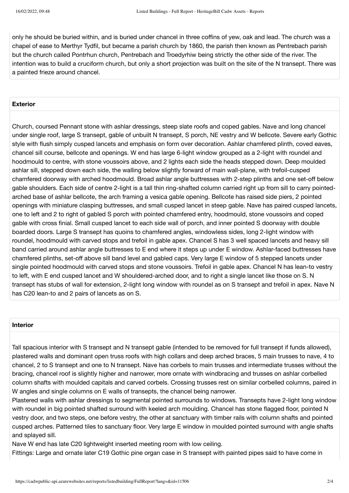only he should be buried within, and is buried under chancel in three coffins of yew, oak and lead. The church was a chapel of ease to Merthyr Tydfil, but became a parish church by 1860, the parish then known as Pentrebach parish but the church called Pontrhun church, Pentrebach and Troedyrhiw being strictly the other side of the river. The intention was to build a cruciform church, but only a short projection was built on the site of the N transept. There was a painted frieze around chancel.

### **Exterior**

Church, coursed Pennant stone with ashlar dressings, steep slate roofs and coped gables. Nave and long chancel under single roof, large S transept, gable of unbuilt N transept, S porch, NE vestry and W bellcote. Severe early Gothic style with flush simply cusped lancets and emphasis on form over decoration. Ashlar chamfered plinth, coved eaves, chancel sill course, bellcote and openings. W end has large 6-light window grouped as a 2-light with roundel and hoodmould to centre, with stone voussoirs above, and 2 lights each side the heads stepped down. Deep moulded ashlar sill, stepped down each side, the walling below slightly forward of main wall-plane, with trefoil-cusped chamfered doorway with arched hoodmould. Broad ashlar angle buttresses with 2-step plinths and one set-off below gable shoulders. Each side of centre 2-light is a tall thin ring-shafted column carried right up from sill to carry pointedarched base of ashlar bellcote, the arch framing a vesica gable opening. Bellcote has raised side piers, 2 pointed openings with miniature clasping buttresses, and small cusped lancet in steep gable. Nave has paired cusped lancets, one to left and 2 to right of gabled S porch with pointed chamfered entry, hoodmould, stone voussoirs and coped gable with cross finial. Small cusped lancet to each side wall of porch, and inner pointed S doorway with double boarded doors. Large S transept has quoins to chamfered angles, windowless sides, long 2-light window with roundel, hoodmould with carved stops and trefoil in gable apex. Chancel S has 3 well spaced lancets and heavy sill band carried around ashlar angle buttresses to E end where it steps up under E window. Ashlar-faced buttresses have chamfered plinths, set-off above sill band level and gabled caps. Very large E window of 5 stepped lancets under single pointed hoodmould with carved stops and stone voussoirs. Trefoil in gable apex. Chancel N has lean-to vestry to left, with E end cusped lancet and W shouldered-arched door, and to right a single lancet like those on S. N transept has stubs of wall for extension, 2-light long window with roundel as on S transept and trefoil in apex. Nave N has C20 lean-to and 2 pairs of lancets as on S.

## **Interior**

Tall spacious interior with S transept and N transept gable (intended to be removed for full transept if funds allowed), plastered walls and dominant open truss roofs with high collars and deep arched braces, 5 main trusses to nave, 4 to chancel, 2 to S transept and one to N transept. Nave has corbels to main trusses and intermediate trusses without the bracing, chancel roof is slightly higher and narrower, more ornate with windbracing and trusses on ashlar corbelled column shafts with moulded capitals and carved corbels. Crossing trusses rest on similar corbelled columns, paired in W angles and single columns on E walls of transepts, the chancel being narrower.

Plastered walls with ashlar dressings to segmental pointed surrounds to windows. Transepts have 2-light long window with roundel in big pointed shafted surround with keeled arch moulding. Chancel has stone flagged floor, pointed N vestry door, and two steps, one before vestry, the other at sanctuary with timber rails with column shafts and pointed cusped arches. Patterned tiles to sanctuary floor. Very large E window in moulded pointed surround with angle shafts and splayed sill.

Nave W end has late C20 lightweight inserted meeting room with low ceiling.

Fittings: Large and ornate later C19 Gothic pine organ case in S transept with painted pipes said to have come in